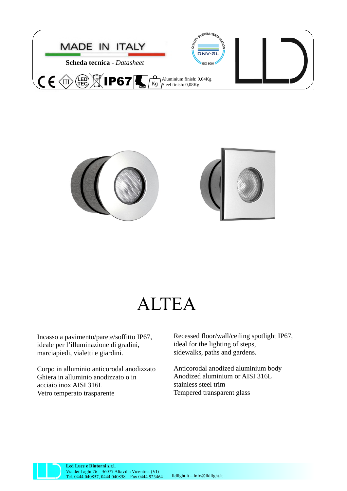



## ALTEA

Incasso a pavimento/parete/soffitto IP67, ideale per l'illuminazione di gradini, marciapiedi, vialetti e giardini.

Corpo in alluminio anticorodal anodizzato Ghiera in alluminio anodizzato o in acciaio inox AISI 316L Vetro temperato trasparente

Recessed floor/wall/ceiling spotlight IP67, ideal for the lighting of steps, sidewalks, paths and gardens.

Anticorodal anodized aluminium body Anodized aluminium or AISI 316L stainless steel trim Tempered transparent glass



**Led Luce e Dintorni s.r.l.** Via dei Laghi 76 – 36077 Altavilla Vicentina (VI) Tel. 0444 040857, 0444 040858 – Fax 0444 923464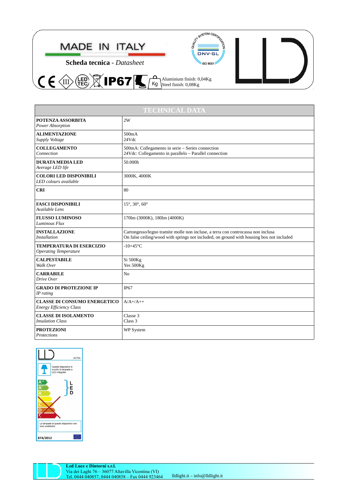

| <b>TECHNICAL DATA</b>                                                 |                                                                                                                                                                              |
|-----------------------------------------------------------------------|------------------------------------------------------------------------------------------------------------------------------------------------------------------------------|
| <b>POTENZA ASSORBITA</b><br>Power Absorption                          | 2W                                                                                                                                                                           |
| <b>ALIMENTAZIONE</b><br>Supply Voltage                                | 500mA<br>24Vdc                                                                                                                                                               |
| <b>COLLEGAMENTO</b><br>Connection                                     | 500mA: Collegamento in serie - Series connection<br>24Vdc: Collegamento in parallelo - Parallel connection                                                                   |
| <b>DURATA MEDIA LED</b><br>Average LED life                           | 50.000h                                                                                                                                                                      |
| <b>COLORI LED DISPONIBILI</b><br>LED colours available                | 3000K, 4000K                                                                                                                                                                 |
| <b>CRI</b>                                                            | 80                                                                                                                                                                           |
| <b>FASCI DISPONIBILI</b><br>Available Lens                            | 15°, 30°, 60°                                                                                                                                                                |
| <b>FLUSSO LUMINOSO</b><br>Luminous Flux                               | 170lm (3000K), 180lm (4000K)                                                                                                                                                 |
| <b>INSTALLAZIONE</b><br><b>Installation</b>                           | Cartongesso/legno tramite molle non incluse, a terra con controcassa non inclusa<br>On false ceiling/wood with springs not included, on ground with housing box not included |
| <b>TEMPERATURA DI ESERCIZIO</b><br><b>Operating Temperature</b>       | $-10+45$ °C                                                                                                                                                                  |
| <b>CALPESTABILE</b><br>Walk Over                                      | Si 500Kg<br>Yes 500Kg                                                                                                                                                        |
| <b>CARRABILE</b><br>Drive Over                                        | N <sub>0</sub>                                                                                                                                                               |
| <b>GRADO DI PROTEZIONE IP</b><br>IP rating                            | IP <sub>67</sub>                                                                                                                                                             |
| <b>CLASSE DI CONSUMO ENERGETICO</b><br><b>Energy Efficiency Class</b> | $A/A+ / A++$                                                                                                                                                                 |
| <b>CLASSE DI ISOLAMENTO</b><br><b>Insulation Class</b>                | Classe 3<br>Class 3                                                                                                                                                          |
| <b>PROTEZIONI</b><br>Protections                                      | <b>WP System</b>                                                                                                                                                             |